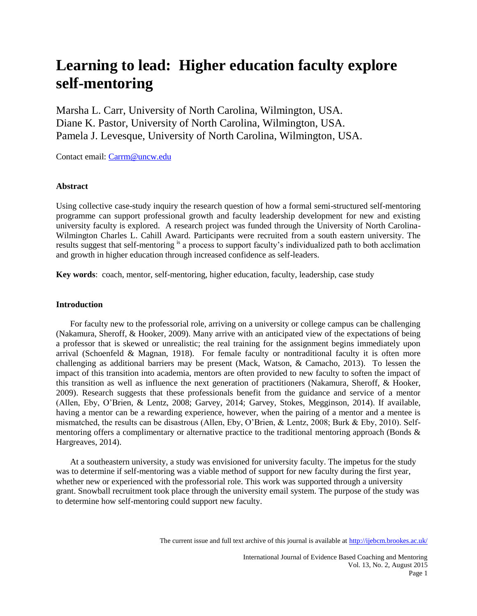# **Learning to lead: Higher education faculty explore self-mentoring**

Marsha L. Carr, University of North Carolina, Wilmington, USA. Diane K. Pastor, University of North Carolina, Wilmington, USA. Pamela J. Levesque, University of North Carolina, Wilmington, USA.

Contact email: [Carrm@uncw.edu](mailto:Carrm@uncw.edu)

## **Abstract**

Using collective case-study inquiry the research question of how a formal semi-structured self-mentoring programme can support professional growth and faculty leadership development for new and existing university faculty is explored. A research project was funded through the University of North Carolina-Wilmington Charles L. Cahill Award. Participants were recruited from a south eastern university. The results suggest that self-mentoring is a process to support faculty's individualized path to both acclimation and growth in higher education through increased confidence as self-leaders.

**Key words**: coach, mentor, self-mentoring, higher education, faculty, leadership, case study

# **Introduction**

For faculty new to the professorial role, arriving on a university or college campus can be challenging (Nakamura, Sheroff, & Hooker, 2009). Many arrive with an anticipated view of the expectations of being a professor that is skewed or unrealistic; the real training for the assignment begins immediately upon arrival (Schoenfeld & Magnan, 1918). For female faculty or nontraditional faculty it is often more challenging as additional barriers may be present (Mack, Watson, & Camacho, 2013). To lessen the impact of this transition into academia, mentors are often provided to new faculty to soften the impact of this transition as well as influence the next generation of practitioners (Nakamura, Sheroff, & Hooker, 2009). Research suggests that these professionals benefit from the guidance and service of a mentor (Allen, Eby, O'Brien, & Lentz, 2008; Garvey, 2014; Garvey, Stokes, Megginson, 2014). If available, having a mentor can be a rewarding experience, however, when the pairing of a mentor and a mentee is mismatched, the results can be disastrous (Allen, Eby, O'Brien, & Lentz, 2008; Burk & Eby, 2010). Selfmentoring offers a complimentary or alternative practice to the traditional mentoring approach (Bonds & Hargreaves, 2014).

At a southeastern university, a study was envisioned for university faculty. The impetus for the study was to determine if self-mentoring was a viable method of support for new faculty during the first year, whether new or experienced with the professorial role. This work was supported through a university grant. Snowball recruitment took place through the university email system. The purpose of the study was to determine how self-mentoring could support new faculty.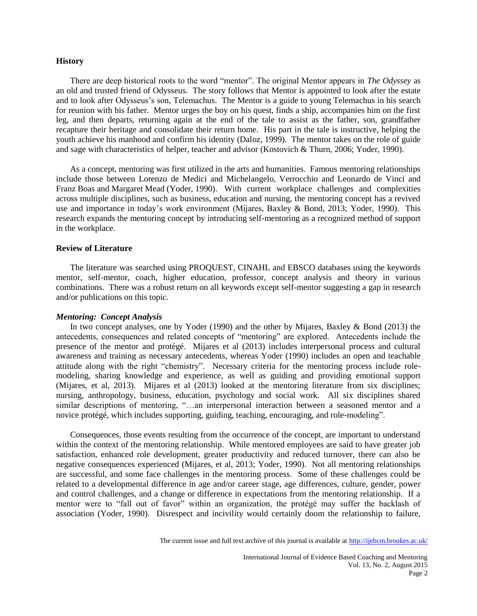#### **History**

There are deep historical roots to the word "mentor". The original Mentor appears in *The Odyssey* as an old and trusted friend of Odysseus. The story follows that Mentor is appointed to look after the estate and to look after Odysseus's son, Telemachus. The Mentor is a guide to young Telemachus in his search for reunion with his father. Mentor urges the boy on his quest, finds a ship, accompanies him on the first leg, and then departs, returning again at the end of the tale to assist as the father, son, grandfather recapture their heritage and consolidate their return home. His part in the tale is instructive, helping the youth achieve his manhood and confirm his identity (Daloz, 1999). The mentor takes on the role of guide and sage with characteristics of helper, teacher and advisor (Kostovich & Thurn, 2006; Yoder, 1990).

As a concept, mentoring was first utilized in the arts and humanities. Famous mentoring relationships include those between Lorenzo de Medici and Michelangelo, Verrocchio and Leonardo de Vinci and Franz Boas and Margaret Mead (Yoder, 1990). With current workplace challenges and complexities across multiple disciplines, such as business, education and nursing, the mentoring concept has a revived use and importance in today's work environment (Mijares, Baxley & Bond, 2013; Yoder, 1990). This research expands the mentoring concept by introducing self-mentoring as a recognized method of support in the workplace.

## **Review of Literature**

The literature was searched using PROQUEST, CINAHL and EBSCO databases using the keywords mentor, self-mentor, coach, higher education, professor, concept analysis and theory in various combinations. There was a robust return on all keywords except self-mentor suggesting a gap in research and/or publications on this topic.

# *Mentoring: Concept Analysis*

In two concept analyses, one by Yoder (1990) and the other by Mijares, Baxley & Bond (2013) the antecedents, consequences and related concepts of "mentoring" are explored. Antecedents include the presence of the mentor and protégé. Mijares et al (2013) includes interpersonal process and cultural awareness and training as necessary antecedents, whereas Yoder (1990) includes an open and teachable attitude along with the right "chemistry". Necessary criteria for the mentoring process include rolemodeling, sharing knowledge and experience, as well as guiding and providing emotional support (Mijares, et al, 2013). Mijares et al (2013) looked at the mentoring literature from six disciplines; nursing, anthropology, business, education, psychology and social work. All six disciplines shared similar descriptions of mentoring, "…an interpersonal interaction between a seasoned mentor and a novice protégé, which includes supporting, guiding, teaching, encouraging, and role-modeling".

Consequences, those events resulting from the occurrence of the concept, are important to understand within the context of the mentoring relationship. While mentored employees are said to have greater job satisfaction, enhanced role development, greater productivity and reduced turnover, there can also be negative consequences experienced (Mijares, et al, 2013; Yoder, 1990). Not all mentoring relationships are successful, and some face challenges in the mentoring process. Some of these challenges could be related to a developmental difference in age and/or career stage, age differences, culture, gender, power and control challenges, and a change or difference in expectations from the mentoring relationship. If a mentor were to "fall out of favor" within an organization, the protégé may suffer the backlash of association (Yoder, 1990). Disrespect and incivility would certainly doom the relationship to failure,

The current issue and full text archive of this journal is available at <http://ijebcm.brookes.ac.uk/>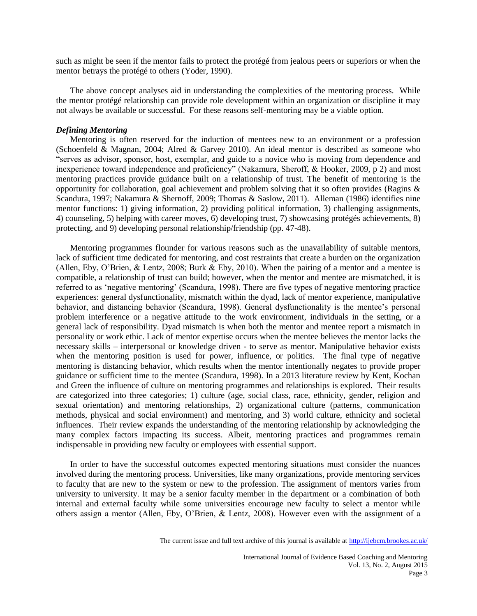such as might be seen if the mentor fails to protect the protégé from jealous peers or superiors or when the mentor betrays the protégé to others (Yoder, 1990).

The above concept analyses aid in understanding the complexities of the mentoring process. While the mentor protégé relationship can provide role development within an organization or discipline it may not always be available or successful. For these reasons self-mentoring may be a viable option.

## *Defining Mentoring*

Mentoring is often reserved for the induction of mentees new to an environment or a profession (Schoenfeld & Magnan, 2004; Alred & Garvey 2010). An ideal mentor is described as someone who "serves as advisor, sponsor, host, exemplar, and guide to a novice who is moving from dependence and inexperience toward independence and proficiency" (Nakamura, Sheroff, & Hooker, 2009, p 2) and most mentoring practices provide guidance built on a relationship of trust. The benefit of mentoring is the opportunity for collaboration, goal achievement and problem solving that it so often provides (Ragins & Scandura, 1997; Nakamura & Shernoff, 2009; Thomas & Saslow, 2011). Alleman (1986) identifies nine mentor functions: 1) giving information, 2) providing political information, 3) challenging assignments, 4) counseling, 5) helping with career moves, 6) developing trust, 7) showcasing protégés achievements, 8) protecting, and 9) developing personal relationship/friendship (pp. 47-48).

Mentoring programmes flounder for various reasons such as the unavailability of suitable mentors, lack of sufficient time dedicated for mentoring, and cost restraints that create a burden on the organization (Allen, Eby, O'Brien, & Lentz, 2008; Burk & Eby, 2010). When the pairing of a mentor and a mentee is compatible, a relationship of trust can build; however, when the mentor and mentee are mismatched, it is referred to as 'negative mentoring' (Scandura, 1998). There are five types of negative mentoring practice experiences: general dysfunctionality, mismatch within the dyad, lack of mentor experience, manipulative behavior, and distancing behavior (Scandura, 1998). General dysfunctionality is the mentee's personal problem interference or a negative attitude to the work environment, individuals in the setting, or a general lack of responsibility. Dyad mismatch is when both the mentor and mentee report a mismatch in personality or work ethic. Lack of mentor expertise occurs when the mentee believes the mentor lacks the necessary skills – interpersonal or knowledge driven - to serve as mentor. Manipulative behavior exists when the mentoring position is used for power, influence, or politics. The final type of negative mentoring is distancing behavior, which results when the mentor intentionally negates to provide proper guidance or sufficient time to the mentee (Scandura, 1998). In a 2013 literature review by Kent, Kochan and Green the influence of culture on mentoring programmes and relationships is explored. Their results are categorized into three categories; 1) culture (age, social class, race, ethnicity, gender, religion and sexual orientation) and mentoring relationships, 2) organizational culture (patterns, communication methods, physical and social environment) and mentoring, and 3) world culture, ethnicity and societal influences. Their review expands the understanding of the mentoring relationship by acknowledging the many complex factors impacting its success. Albeit, mentoring practices and programmes remain indispensable in providing new faculty or employees with essential support.

In order to have the successful outcomes expected mentoring situations must consider the nuances involved during the mentoring process. Universities, like many organizations, provide mentoring services to faculty that are new to the system or new to the profession. The assignment of mentors varies from university to university. It may be a senior faculty member in the department or a combination of both internal and external faculty while some universities encourage new faculty to select a mentor while others assign a mentor (Allen, Eby, O'Brien, & Lentz, 2008). However even with the assignment of a

The current issue and full text archive of this journal is available at <http://ijebcm.brookes.ac.uk/>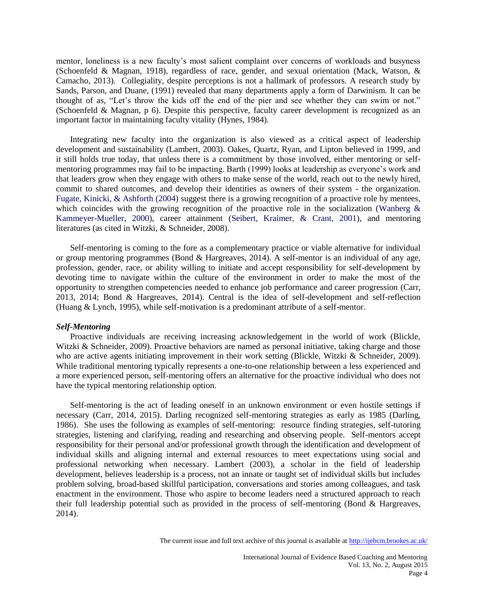mentor, loneliness is a new faculty's most salient complaint over concerns of workloads and busyness (Schoenfeld & Magnan, 1918), regardless of race, gender, and sexual orientation (Mack, Watson, & Camacho, 2013). Collegiality, despite perceptions is not a hallmark of professors. A research study by Sands, Parson, and Duane, (1991) revealed that many departments apply a form of Darwinism. It can be thought of as, "Let's throw the kids off the end of the pier and see whether they can swim or not." (Schoenfeld & Magnan, p 6). Despite this perspective, faculty career development is recognized as an important factor in maintaining faculty vitality (Hynes, 1984).

Integrating new faculty into the organization is also viewed as a critical aspect of leadership development and sustainability (Lambert, 2003). Oakes, Quartz, Ryan, and Lipton believed in 1999, and it still holds true today, that unless there is a commitment by those involved, either mentoring or selfmentoring programmes may fail to be impacting. Barth (1999) looks at leadership as everyone's work and that leaders grow when they engage with others to make sense of the world, reach out to the newly hired, commit to shared outcomes, and develop their identities as owners of their system - the organization. Fugate, Kinicki, & Ashforth (2004) suggest there is a growing recognition of a proactive role by mentees, which coincides with the growing recognition of the proactive role in the socialization (Wanberg & Kammeyer-Mueller, 2000), career attainment (Seibert, Kraimer, & Crant, 2001), and mentoring literatures (as cited in Witzki, & Schneider, 2008).

Self-mentoring is coming to the fore as a complementary practice or viable alternative for individual or group mentoring programmes (Bond & Hargreaves, 2014). A self-mentor is an individual of any age, profession, gender, race, or ability willing to initiate and accept responsibility for self-development by devoting time to navigate within the culture of the environment in order to make the most of the opportunity to strengthen competencies needed to enhance job performance and career progression (Carr, 2013, 2014; Bond & Hargreaves, 2014). Central is the idea of self-development and self-reflection (Huang & Lynch, 1995), while self-motivation is a predominant attribute of a self-mentor.

## *Self-Mentoring*

Proactive individuals are receiving increasing acknowledgement in the world of work (Blickle, Witzki & Schneider, 2009). Proactive behaviors are named as personal initiative, taking charge and those who are active agents initiating improvement in their work setting (Blickle, Witzki & Schneider, 2009). While traditional mentoring typically represents a one-to-one relationship between a less experienced and a more experienced person, self-mentoring offers an alternative for the proactive individual who does not have the typical mentoring relationship option.

Self-mentoring is the act of leading oneself in an unknown environment or even hostile settings if necessary (Carr, 2014, 2015). Darling recognized self-mentoring strategies as early as 1985 (Darling, 1986). She uses the following as examples of self-mentoring: resource finding strategies, self-tutoring strategies, listening and clarifying, reading and researching and observing people. Self-mentors accept responsibility for their personal and/or professional growth through the identification and development of individual skills and aligning internal and external resources to meet expectations using social and professional networking when necessary. Lambert (2003), a scholar in the field of leadership development, believes leadership is a process, not an innate or taught set of individual skills but includes problem solving, broad-based skillful participation, conversations and stories among colleagues, and task enactment in the environment. Those who aspire to become leaders need a structured approach to reach their full leadership potential such as provided in the process of self-mentoring (Bond & Hargreaves, 2014).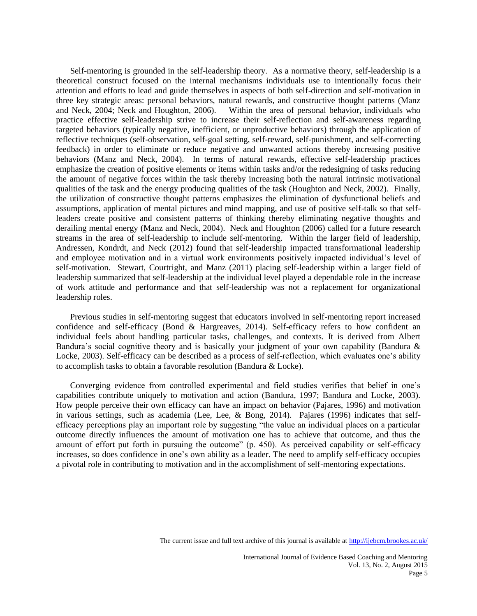Self-mentoring is grounded in the self-leadership theory. As a normative theory, self-leadership is a theoretical construct focused on the internal mechanisms individuals use to intentionally focus their attention and efforts to lead and guide themselves in aspects of both self-direction and self-motivation in three key strategic areas: personal behaviors, natural rewards, and constructive thought patterns (Manz and Neck, 2004; Neck and Houghton, 2006). Within the area of personal behavior, individuals who practice effective self-leadership strive to increase their self-reflection and self-awareness regarding targeted behaviors (typically negative, inefficient, or unproductive behaviors) through the application of reflective techniques (self-observation, self-goal setting, self-reward, self-punishment, and self-correcting feedback) in order to eliminate or reduce negative and unwanted actions thereby increasing positive behaviors (Manz and Neck, 2004). In terms of natural rewards, effective self-leadership practices emphasize the creation of positive elements or items within tasks and/or the redesigning of tasks reducing the amount of negative forces within the task thereby increasing both the natural intrinsic motivational qualities of the task and the energy producing qualities of the task (Houghton and Neck, 2002). Finally, the utilization of constructive thought patterns emphasizes the elimination of dysfunctional beliefs and assumptions, application of mental pictures and mind mapping, and use of positive self-talk so that selfleaders create positive and consistent patterns of thinking thereby eliminating negative thoughts and derailing mental energy (Manz and Neck, 2004). Neck and Houghton (2006) called for a future research streams in the area of self-leadership to include self-mentoring. Within the larger field of leadership, Andressen, Kondrdt, and Neck (2012) found that self-leadership impacted transformational leadership and employee motivation and in a virtual work environments positively impacted individual's level of self-motivation. Stewart, Courtright, and Manz (2011) placing self-leadership within a larger field of leadership summarized that self-leadership at the individual level played a dependable role in the increase of work attitude and performance and that self-leadership was not a replacement for organizational leadership roles.

Previous studies in self-mentoring suggest that educators involved in self-mentoring report increased confidence and self-efficacy (Bond & Hargreaves, 2014). Self-efficacy refers to how confident an individual feels about handling particular tasks, challenges, and contexts. It is derived from Albert Bandura's social cognitive theory and is basically your judgment of your own capability (Bandura & Locke, 2003). Self-efficacy can be described as a process of self-reflection, which evaluates one's ability to accomplish tasks to obtain a favorable resolution (Bandura & Locke).

Converging evidence from controlled experimental and field studies verifies that belief in one's capabilities contribute uniquely to motivation and action (Bandura, 1997; Bandura and Locke, 2003). How people perceive their own efficacy can have an impact on behavior (Pajares, 1996) and motivation in various settings, such as academia (Lee, Lee, & Bong, 2014). Pajares (1996) indicates that selfefficacy perceptions play an important role by suggesting "the value an individual places on a particular outcome directly influences the amount of motivation one has to achieve that outcome, and thus the amount of effort put forth in pursuing the outcome" (p. 450). As perceived capability or self-efficacy increases, so does confidence in one's own ability as a leader. The need to amplify self-efficacy occupies a pivotal role in contributing to motivation and in the accomplishment of self-mentoring expectations.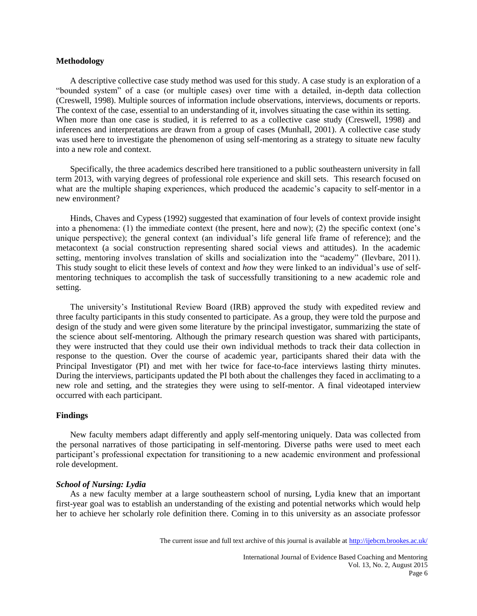## **Methodology**

A descriptive collective case study method was used for this study. A case study is an exploration of a "bounded system" of a case (or multiple cases) over time with a detailed, in-depth data collection (Creswell, 1998). Multiple sources of information include observations, interviews, documents or reports. The context of the case, essential to an understanding of it, involves situating the case within its setting. When more than one case is studied, it is referred to as a collective case study (Creswell, 1998) and inferences and interpretations are drawn from a group of cases (Munhall, 2001). A collective case study was used here to investigate the phenomenon of using self-mentoring as a strategy to situate new faculty into a new role and context.

Specifically, the three academics described here transitioned to a public southeastern university in fall term 2013, with varying degrees of professional role experience and skill sets. This research focused on what are the multiple shaping experiences, which produced the academic's capacity to self-mentor in a new environment?

Hinds, Chaves and Cypess (1992) suggested that examination of four levels of context provide insight into a phenomena: (1) the immediate context (the present, here and now); (2) the specific context (one's unique perspective); the general context (an individual's life general life frame of reference); and the metacontext (a social construction representing shared social views and attitudes). In the academic setting, mentoring involves translation of skills and socialization into the "academy" (Ilevbare, 2011). This study sought to elicit these levels of context and *how* they were linked to an individual's use of selfmentoring techniques to accomplish the task of successfully transitioning to a new academic role and setting.

The university's Institutional Review Board (IRB) approved the study with expedited review and three faculty participants in this study consented to participate. As a group, they were told the purpose and design of the study and were given some literature by the principal investigator, summarizing the state of the science about self-mentoring. Although the primary research question was shared with participants, they were instructed that they could use their own individual methods to track their data collection in response to the question. Over the course of academic year, participants shared their data with the Principal Investigator (PI) and met with her twice for face-to-face interviews lasting thirty minutes. During the interviews, participants updated the PI both about the challenges they faced in acclimating to a new role and setting, and the strategies they were using to self-mentor. A final videotaped interview occurred with each participant.

# **Findings**

New faculty members adapt differently and apply self-mentoring uniquely. Data was collected from the personal narratives of those participating in self-mentoring. Diverse paths were used to meet each participant's professional expectation for transitioning to a new academic environment and professional role development.

#### *School of Nursing: Lydia*

As a new faculty member at a large southeastern school of nursing, Lydia knew that an important first-year goal was to establish an understanding of the existing and potential networks which would help her to achieve her scholarly role definition there. Coming in to this university as an associate professor

The current issue and full text archive of this journal is available at <http://ijebcm.brookes.ac.uk/>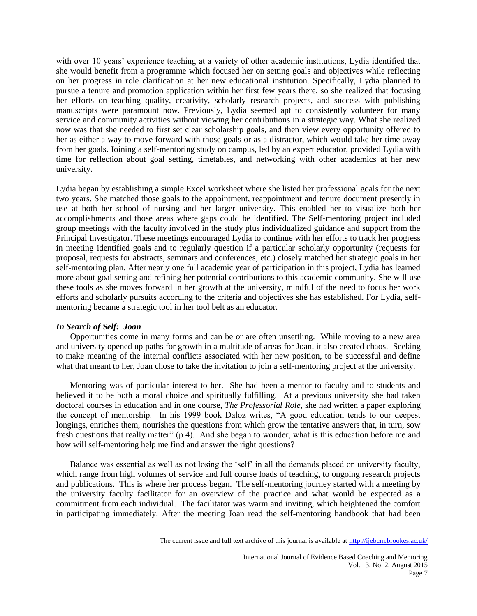with over 10 years' experience teaching at a variety of other academic institutions, Lydia identified that she would benefit from a programme which focused her on setting goals and objectives while reflecting on her progress in role clarification at her new educational institution. Specifically, Lydia planned to pursue a tenure and promotion application within her first few years there, so she realized that focusing her efforts on teaching quality, creativity, scholarly research projects, and success with publishing manuscripts were paramount now. Previously, Lydia seemed apt to consistently volunteer for many service and community activities without viewing her contributions in a strategic way. What she realized now was that she needed to first set clear scholarship goals, and then view every opportunity offered to her as either a way to move forward with those goals or as a distractor, which would take her time away from her goals. Joining a self-mentoring study on campus, led by an expert educator, provided Lydia with time for reflection about goal setting, timetables, and networking with other academics at her new university.

Lydia began by establishing a simple Excel worksheet where she listed her professional goals for the next two years. She matched those goals to the appointment, reappointment and tenure document presently in use at both her school of nursing and her larger university. This enabled her to visualize both her accomplishments and those areas where gaps could be identified. The Self-mentoring project included group meetings with the faculty involved in the study plus individualized guidance and support from the Principal Investigator. These meetings encouraged Lydia to continue with her efforts to track her progress in meeting identified goals and to regularly question if a particular scholarly opportunity (requests for proposal, requests for abstracts, seminars and conferences, etc.) closely matched her strategic goals in her self-mentoring plan. After nearly one full academic year of participation in this project, Lydia has learned more about goal setting and refining her potential contributions to this academic community. She will use these tools as she moves forward in her growth at the university, mindful of the need to focus her work efforts and scholarly pursuits according to the criteria and objectives she has established. For Lydia, selfmentoring became a strategic tool in her tool belt as an educator.

## *In Search of Self: Joan*

Opportunities come in many forms and can be or are often unsettling. While moving to a new area and university opened up paths for growth in a multitude of areas for Joan, it also created chaos. Seeking to make meaning of the internal conflicts associated with her new position, to be successful and define what that meant to her, Joan chose to take the invitation to join a self-mentoring project at the university.

Mentoring was of particular interest to her. She had been a mentor to faculty and to students and believed it to be both a moral choice and spiritually fulfilling. At a previous university she had taken doctoral courses in education and in one course, *The Professorial Role*, she had written a paper exploring the concept of mentorship. In his 1999 book Daloz writes, "A good education tends to our deepest longings, enriches them, nourishes the questions from which grow the tentative answers that, in turn, sow fresh questions that really matter" (p 4). And she began to wonder, what is this education before me and how will self-mentoring help me find and answer the right questions?

Balance was essential as well as not losing the 'self' in all the demands placed on university faculty, which range from high volumes of service and full course loads of teaching, to ongoing research projects and publications. This is where her process began. The self-mentoring journey started with a meeting by the university faculty facilitator for an overview of the practice and what would be expected as a commitment from each individual. The facilitator was warm and inviting, which heightened the comfort in participating immediately. After the meeting Joan read the self-mentoring handbook that had been

The current issue and full text archive of this journal is available at <http://ijebcm.brookes.ac.uk/>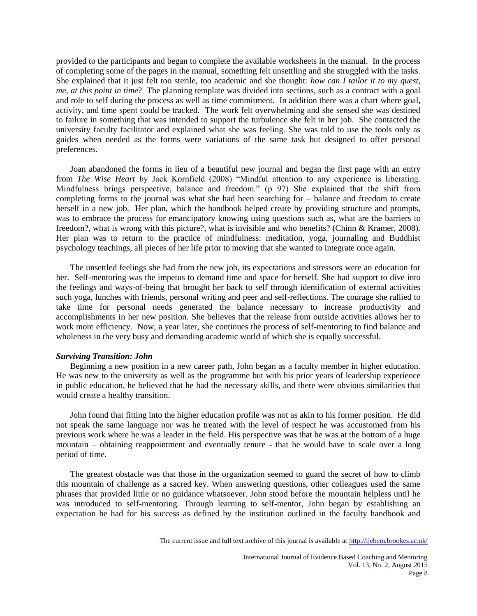provided to the participants and began to complete the available worksheets in the manual. In the process of completing some of the pages in the manual, something felt unsettling and she struggled with the tasks. She explained that it just felt too sterile, too academic and she thought: *how can I tailor it to my quest, me, at this point in time*? The planning template was divided into sections, such as a contract with a goal and role to self during the process as well as time commitment. In addition there was a chart where goal, activity, and time spent could be tracked. The work felt overwhelming and she sensed she was destined to failure in something that was intended to support the turbulence she felt in her job. She contacted the university faculty facilitator and explained what she was feeling. She was told to use the tools only as guides when needed as the forms were variations of the same task but designed to offer personal preferences.

Joan abandoned the forms in lieu of a beautiful new journal and began the first page with an entry from *The Wise Heart* by Jack Kornfield (2008) "Mindful attention to any experience is liberating. Mindfulness brings perspective, balance and freedom." (p 97) She explained that the shift from completing forms to the journal was what she had been searching for – balance and freedom to create herself in a new job. Her plan, which the handbook helped create by providing structure and prompts, was to embrace the process for emancipatory knowing using questions such as, what are the barriers to freedom?, what is wrong with this picture?, what is invisible and who benefits? (Chinn & Kramer, 2008). Her plan was to return to the practice of mindfulness: meditation, yoga, journaling and Buddhist psychology teachings, all pieces of her life prior to moving that she wanted to integrate once again.

The unsettled feelings she had from the new job, its expectations and stressors were an education for her. Self-mentoring was the impetus to demand time and space for herself. She had support to dive into the feelings and ways-of-being that brought her back to self through identification of external activities such yoga, lunches with friends, personal writing and peer and self-reflections. The courage she rallied to take time for personal needs generated the balance necessary to increase productivity and accomplishments in her new position. She believes that the release from outside activities allows her to work more efficiency. Now, a year later, she continues the process of self-mentoring to find balance and wholeness in the very busy and demanding academic world of which she is equally successful.

# *Surviving Transition: John*

Beginning a new position in a new career path, John began as a faculty member in higher education. He was new to the university as well as the programme but with his prior years of leadership experience in public education, he believed that he had the necessary skills, and there were obvious similarities that would create a healthy transition.

John found that fitting into the higher education profile was not as akin to his former position. He did not speak the same language nor was he treated with the level of respect he was accustomed from his previous work where he was a leader in the field. His perspective was that he was at the bottom of a huge mountain – obtaining reappointment and eventually tenure - that he would have to scale over a long period of time.

The greatest obstacle was that those in the organization seemed to guard the secret of how to climb this mountain of challenge as a sacred key. When answering questions, other colleagues used the same phrases that provided little or no guidance whatsoever. John stood before the mountain helpless until he was introduced to self-mentoring. Through learning to self-mentor, John began by establishing an expectation he had for his success as defined by the institution outlined in the faculty handbook and

The current issue and full text archive of this journal is available at <http://ijebcm.brookes.ac.uk/>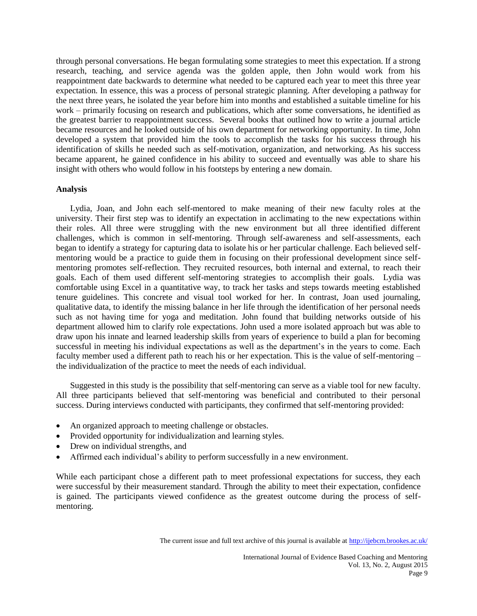through personal conversations. He began formulating some strategies to meet this expectation. If a strong research, teaching, and service agenda was the golden apple, then John would work from his reappointment date backwards to determine what needed to be captured each year to meet this three year expectation. In essence, this was a process of personal strategic planning. After developing a pathway for the next three years, he isolated the year before him into months and established a suitable timeline for his work – primarily focusing on research and publications, which after some conversations, he identified as the greatest barrier to reappointment success. Several books that outlined how to write a journal article became resources and he looked outside of his own department for networking opportunity. In time, John developed a system that provided him the tools to accomplish the tasks for his success through his identification of skills he needed such as self-motivation, organization, and networking. As his success became apparent, he gained confidence in his ability to succeed and eventually was able to share his insight with others who would follow in his footsteps by entering a new domain.

## **Analysis**

Lydia, Joan, and John each self-mentored to make meaning of their new faculty roles at the university. Their first step was to identify an expectation in acclimating to the new expectations within their roles. All three were struggling with the new environment but all three identified different challenges, which is common in self-mentoring. Through self-awareness and self-assessments, each began to identify a strategy for capturing data to isolate his or her particular challenge. Each believed selfmentoring would be a practice to guide them in focusing on their professional development since selfmentoring promotes self-reflection. They recruited resources, both internal and external, to reach their goals. Each of them used different self-mentoring strategies to accomplish their goals. Lydia was comfortable using Excel in a quantitative way, to track her tasks and steps towards meeting established tenure guidelines. This concrete and visual tool worked for her. In contrast, Joan used journaling, qualitative data, to identify the missing balance in her life through the identification of her personal needs such as not having time for yoga and meditation. John found that building networks outside of his department allowed him to clarify role expectations. John used a more isolated approach but was able to draw upon his innate and learned leadership skills from years of experience to build a plan for becoming successful in meeting his individual expectations as well as the department's in the years to come. Each faculty member used a different path to reach his or her expectation. This is the value of self-mentoring – the individualization of the practice to meet the needs of each individual.

Suggested in this study is the possibility that self-mentoring can serve as a viable tool for new faculty. All three participants believed that self-mentoring was beneficial and contributed to their personal success. During interviews conducted with participants, they confirmed that self-mentoring provided:

- An organized approach to meeting challenge or obstacles.
- Provided opportunity for individualization and learning styles.
- Drew on individual strengths, and
- Affirmed each individual's ability to perform successfully in a new environment.

While each participant chose a different path to meet professional expectations for success, they each were successful by their measurement standard. Through the ability to meet their expectation, confidence is gained. The participants viewed confidence as the greatest outcome during the process of selfmentoring.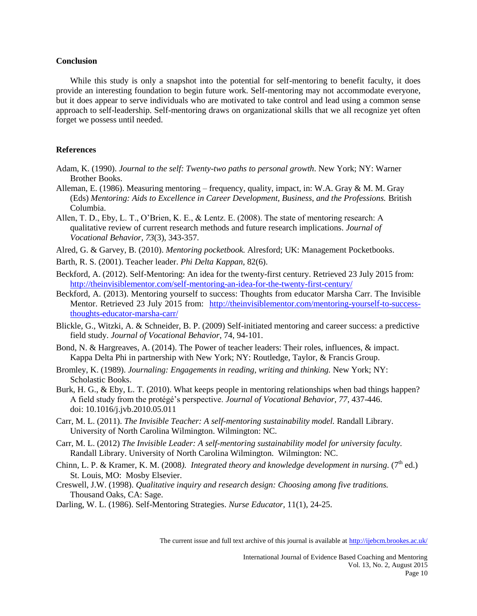#### **Conclusion**

While this study is only a snapshot into the potential for self-mentoring to benefit faculty, it does provide an interesting foundation to begin future work. Self-mentoring may not accommodate everyone, but it does appear to serve individuals who are motivated to take control and lead using a common sense approach to self-leadership. Self-mentoring draws on organizational skills that we all recognize yet often forget we possess until needed.

## **References**

- Adam, K. (1990). *Journal to the self: Twenty-two paths to personal growth*. New York; NY: Warner Brother Books.
- Alleman, E. (1986). Measuring mentoring frequency, quality, impact, in: W.A. Gray & M. M. Gray (Eds) *Mentoring: Aids to Excellence in Career Development, Business, and the Professions.* British Columbia.
- Allen, T. D., Eby, L. T., O'Brien, K. E., & Lentz. E. (2008). The state of mentoring research: A qualitative review of current research methods and future research implications. *Journal of Vocational Behavior, 73*(3), 343-357.
- Alred, G. & Garvey, B. (2010). *Mentoring pocketbook.* Alresford; UK: Management Pocketbooks.
- Barth, R. S. (2001). Teacher leader. *Phi Delta Kappan,* 82(6).
- Beckford, A. (2012). Self-Mentoring: An idea for the twenty-first century. Retrieved 23 July 2015 from: <http://theinvisiblementor.com/self-mentoring-an-idea-for-the-twenty-first-century/>
- Beckford, A. (2013). Mentoring yourself to success: Thoughts from educator Marsha Carr. The Invisible Mentor. Retrieved 23 July 2015 from: [http://theinvisiblementor.com/mentoring-yourself-to-success](http://theinvisiblementor.com/mentoring-yourself-to-success-thoughts-educator-marsha-carr/)[thoughts-educator-marsha-carr/](http://theinvisiblementor.com/mentoring-yourself-to-success-thoughts-educator-marsha-carr/)
- Blickle, G., Witzki, A. & Schneider, B. P. (2009) Self-initiated mentoring and career success: a predictive field study. *Journal of Vocational Behavior*, 74, 94-101.
- Bond, N. & Hargreaves, A. (2014). The Power of teacher leaders: Their roles, influences, & impact. Kappa Delta Phi in partnership with New York; NY: Routledge, Taylor, & Francis Group.
- Bromley, K. (1989). *Journaling: Engagements in reading, writing and thinking.* New York; NY: Scholastic Books.
- Burk, H. G., & Eby, L. T. (2010). What keeps people in mentoring relationships when bad things happen? A field study from the protégé's perspective. *Journal of Vocational Behavior, 77,* 437-446. doi: 10.1016/j.jvb.2010.05.011
- Carr, M. L. (2011). *The Invisible Teacher: A self-mentoring sustainability model.* Randall Library. University of North Carolina Wilmington. Wilmington: NC.
- Carr, M. L. (2012) *The Invisible Leader: A self-mentoring sustainability model for university faculty.* Randall Library. University of North Carolina Wilmington. Wilmington: NC.
- Chinn, L. P. & Kramer, K. M. (2008). Integrated theory and knowledge development in nursing. (7<sup>th</sup> ed.) St. Louis, MO: Mosby Elsevier.
- Creswell, J.W. (1998). *Qualitative inquiry and research design: Choosing among five traditions.*  Thousand Oaks, CA: Sage.

Darling, W. L. (1986). Self-Mentoring Strategies. *Nurse Educator,* 11(1), 24-25.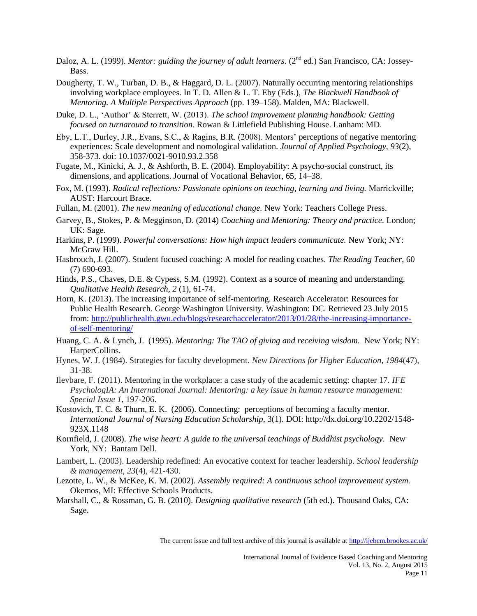- Daloz, A. L. (1999). *Mentor: guiding the journey of adult learners*. (2<sup>nd</sup> ed.) San Francisco, CA: Jossey-Bass.
- Dougherty, T. W., Turban, D. B., & Haggard, D. L. (2007). Naturally occurring mentoring relationships involving workplace employees. In T. D. Allen & L. T. Eby (Eds.), *The Blackwell Handbook of Mentoring. A Multiple Perspectives Approach* (pp. 139–158). Malden, MA: Blackwell.
- Duke, D. L., 'Author' & Sterrett, W. (2013). *The school improvement planning handbook: Getting focused on turnaround to transition.* Rowan & Littlefield Publishing House. Lanham: MD.
- Eby, L.T., Durley, J.R., Evans, S.C., & Ragins, B.R. (2008). Mentors' perceptions of negative mentoring experiences: Scale development and nomological validation. *Journal of Applied Psychology, 93*(2), 358-373. doi: 10.1037/0021-9010.93.2.358
- Fugate, M., Kinicki, A. J., & Ashforth, B. E. (2004). Employability: A psycho-social construct, its dimensions, and applications. Journal of Vocational Behavior, 65, 14–38.
- Fox, M. (1993). *Radical reflections: Passionate opinions on teaching, learning and living.* Marrickville; AUST: Harcourt Brace.
- Fullan, M. (2001). *The new meaning of educational change.* New York: Teachers College Press.
- Garvey, B., Stokes, P. & Megginson, D. (2014) *Coaching and Mentoring: Theory and practice.* London; UK: Sage.
- Harkins, P. (1999). *Powerful conversations: How high impact leaders communicate.* New York; NY: McGraw Hill.
- Hasbrouch, J. (2007). Student focused coaching: A model for reading coaches. *The Reading Teacher*, 60 (7) 690-693.
- Hinds, P.S., Chaves, D.E. & Cypess, S.M. (1992). Context as a source of meaning and understanding. *Qualitative Health Research, 2* (1), 61-74.
- Horn, K. (2013). The increasing importance of self-mentoring. Research Accelerator: Resources for Public Health Research. George Washington University. Washington: DC. Retrieved 23 July 2015 from: [http://publichealth.gwu.edu/blogs/researchaccelerator/2013/01/28/the-increasing-importance](http://publichealth.gwu.edu/blogs/researchaccelerator/2013/01/28/the-increasing-importance-of-self-mentoring/)[of-self-mentoring/](http://publichealth.gwu.edu/blogs/researchaccelerator/2013/01/28/the-increasing-importance-of-self-mentoring/)
- Huang, C. A. & Lynch, J. (1995). *Mentoring: The TAO of giving and receiving wisdom.* New York; NY: HarperCollins.
- Hynes, W. J. (1984). Strategies for faculty development. *New Directions for Higher Education*, *1984*(47), 31-38.
- Ilevbare, F. (2011). Mentoring in the workplace: a case study of the academic setting: chapter 17. *IFE PsychologIA: An International Journal: Mentoring: a key issue in human resource management: Special Issue 1*, 197-206.
- Kostovich, T. C. & Thurn, E. K. (2006). Connecting: perceptions of becoming a faculty mentor. *International Journal of Nursing Education Scholarship*, 3(1). DOI: http://dx.doi.org/10.2202/1548- 923X.1148
- Kornfield, J. (2008). *The wise heart: A guide to the universal teachings of Buddhist psychology.* New York, NY: Bantam Dell.
- Lambert, L. (2003). Leadership redefined: An evocative context for teacher leadership. *School leadership & management*, *23*(4), 421-430.
- Lezotte, L. W., & McKee, K. M. (2002). *Assembly required: A continuous school improvement system.*  Okemos, MI: Effective Schools Products.
- Marshall, C., & Rossman, G. B. (2010). *Designing qualitative research* (5th ed.). Thousand Oaks, CA: Sage.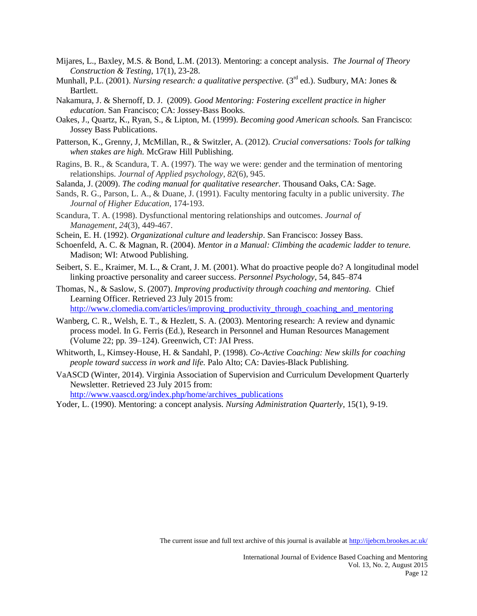- Mijares, L., Baxley, M.S. & Bond, L.M. (2013). Mentoring: a concept analysis. *The Journal of Theory Construction & Testing*, 17(1), 23-28.
- Munhall, P.L. (2001). *Nursing research: a qualitative perspective.* (3<sup>rd</sup> ed.). Sudbury, MA: Jones & Bartlett.
- Nakamura, J. & Shernoff, D. J. (2009). *Good Mentoring: Fostering excellent practice in higher education*. San Francisco; CA: Jossey-Bass Books.
- Oakes, J., Quartz, K., Ryan, S., & Lipton, M. (1999). *Becoming good American schools.* San Francisco: Jossey Bass Publications.
- Patterson, K., Grenny, J, McMillan, R., & Switzler, A. (2012). *Crucial conversations: Tools for talking when stakes are high.* McGraw Hill Publishing.
- Ragins, B. R., & Scandura, T. A. (1997). The way we were: gender and the termination of mentoring relationships. *Journal of Applied psychology*, *82*(6), 945.
- Salanda, J. (2009). *The coding manual for qualitative researcher.* Thousand Oaks, CA: Sage.
- Sands, R. G., Parson, L. A., & Duane, J. (1991). Faculty mentoring faculty in a public university. *The Journal of Higher Education*, 174-193.
- Scandura, T. A. (1998). Dysfunctional mentoring relationships and outcomes. *Journal of Management*, *24*(3), 449-467.
- Schein, E. H. (1992). *Organizational culture and leadership*. San Francisco: Jossey Bass.
- Schoenfeld, A. C. & Magnan, R. (2004). *Mentor in a Manual: Climbing the academic ladder to tenure.* Madison; WI: Atwood Publishing.
- Seibert, S. E., Kraimer, M. L., & Crant, J. M. (2001). What do proactive people do? A longitudinal model linking proactive personality and career success. *Personnel Psychology*, 54, 845–874
- Thomas, N., & Saslow, S. (2007). *Improving productivity through coaching and mentoring.* Chief Learning Officer. Retrieved 23 July 2015 from:

[http://www.clomedia.com/articles/improving\\_productivity\\_through\\_coaching\\_and\\_mentoring](http://www.clomedia.com/articles/improving_productivity_through_coaching_and_mentoring)

- Wanberg, C. R., Welsh, E. T., & Hezlett, S. A. (2003). Mentoring research: A review and dynamic process model. In G. Ferris (Ed.), Research in Personnel and Human Resources Management (Volume 22; pp. 39–124). Greenwich, CT: JAI Press.
- Whitworth, L, Kimsey-House, H. & Sandahl, P. (1998). *Co-Active Coaching: New skills for coaching people toward success in work and life.* Palo Alto; CA: Davies-Black Publishing.
- VaASCD (Winter, 2014). Virginia Association of Supervision and Curriculum Development Quarterly Newsletter. Retrieved 23 July 2015 from:

[http://www.vaascd.org/index.php/home/archives\\_publications](http://www.vaascd.org/index.php/home/archives_publications)

Yoder, L. (1990). Mentoring: a concept analysis. *Nursing Administration Quarterly*, 15(1), 9-19.

The current issue and full text archive of this journal is available at <http://ijebcm.brookes.ac.uk/>

International Journal of Evidence Based Coaching and Mentoring Vol. 13, No. 2, August 2015 Page 12